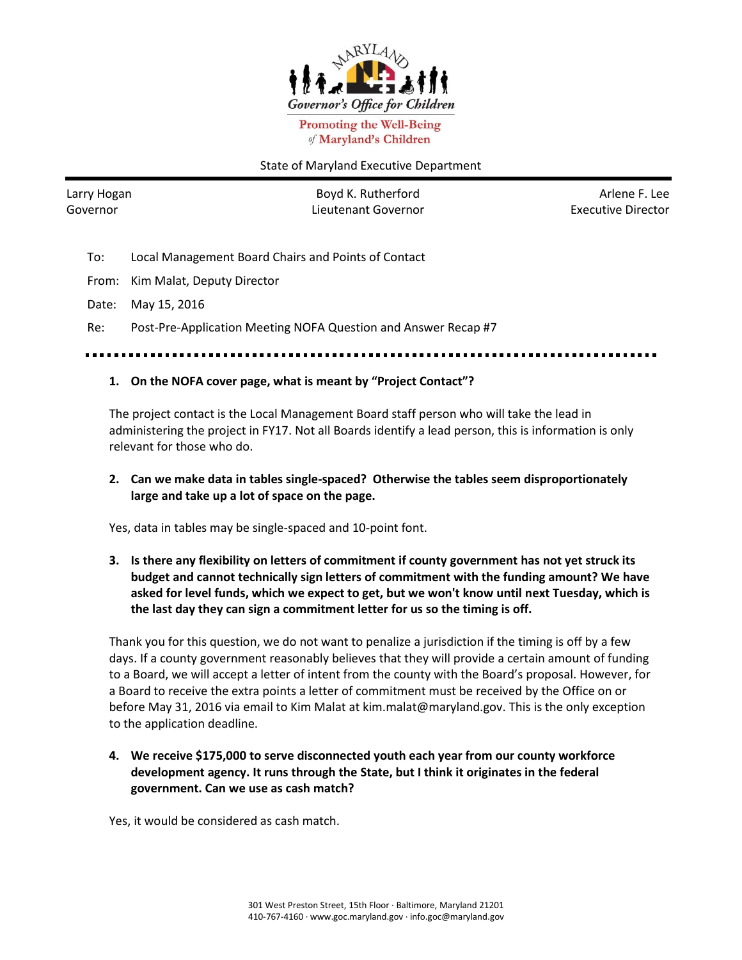

**Promoting the Well-Being** of Maryland's Children

#### State of Maryland Executive Department

Larry Hogan Governor

Boyd K. Rutherford Lieutenant Governor

Arlene F. Lee Executive Director

To: Local Management Board Chairs and Points of Contact

From: Kim Malat, Deputy Director

Date: May 15, 2016

Re: Post-Pre-Application Meeting NOFA Question and Answer Recap #7

# **1. On the NOFA cover page, what is meant by "Project Contact"?**

The project contact is the Local Management Board staff person who will take the lead in administering the project in FY17. Not all Boards identify a lead person, this is information is only relevant for those who do.

# **2. Can we make data in tables single-spaced? Otherwise the tables seem disproportionately large and take up a lot of space on the page.**

Yes, data in tables may be single-spaced and 10-point font.

**3. Is there any flexibility on letters of commitment if county government has not yet struck its budget and cannot technically sign letters of commitment with the funding amount? We have asked for level funds, which we expect to get, but we won't know until next Tuesday, which is the last day they can sign a commitment letter for us so the timing is off.** 

Thank you for this question, we do not want to penalize a jurisdiction if the timing is off by a few days. If a county government reasonably believes that they will provide a certain amount of funding to a Board, we will accept a letter of intent from the county with the Board's proposal. However, for a Board to receive the extra points a letter of commitment must be received by the Office on or before May 31, 2016 via email to Kim Malat at kim.malat@maryland.gov. This is the only exception to the application deadline.

**4. We receive \$175,000 to serve disconnected youth each year from our county workforce development agency. It runs through the State, but I think it originates in the federal government. Can we use as cash match?**

Yes, it would be considered as cash match.